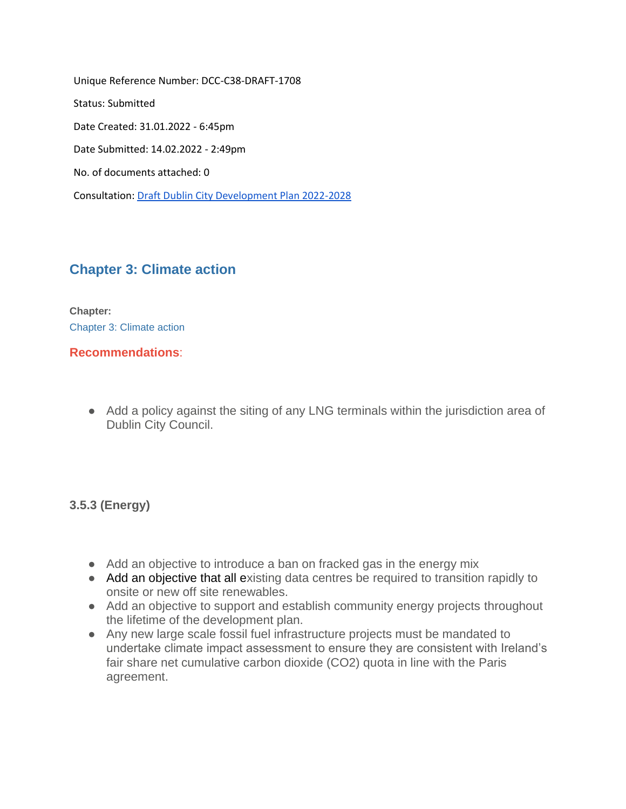Unique Reference Number: DCC-C38-DRAFT-1708 Status: Submitted Date Created: 31.01.2022 - 6:45pm Date Submitted: 14.02.2022 - 2:49pm No. of documents attached: 0 Consultation: [Draft Dublin City Development Plan 2022-2028](https://consult.dublincity.ie/en/consultation/draft-dublin-city-development-plan-2022-2028)

# **[Chapter 3: Climate action](https://consult.dublincity.ie/en/submission/dcc-draft-7242/observation)**

**Chapter:**  [Chapter 3: Climate action](https://consult.dublincity.ie/en/consultation/draft-dublin-city-development-plan-2022-2028/chapter/chapter-3-climate-action)

### **Recommendations**:

● Add a policy against the siting of any LNG terminals within the jurisdiction area of Dublin City Council.

## **3.5.3 (Energy)**

- Add an objective to introduce a ban on fracked gas in the energy mix
- Add an objective that all existing data centres be required to transition rapidly to onsite or new off site renewables.
- Add an objective to support and establish community energy projects throughout the lifetime of the development plan.
- Any new large scale fossil fuel infrastructure projects must be mandated to undertake climate impact assessment to ensure they are consistent with Ireland's fair share net cumulative carbon dioxide (CO2) quota in line with the Paris agreement.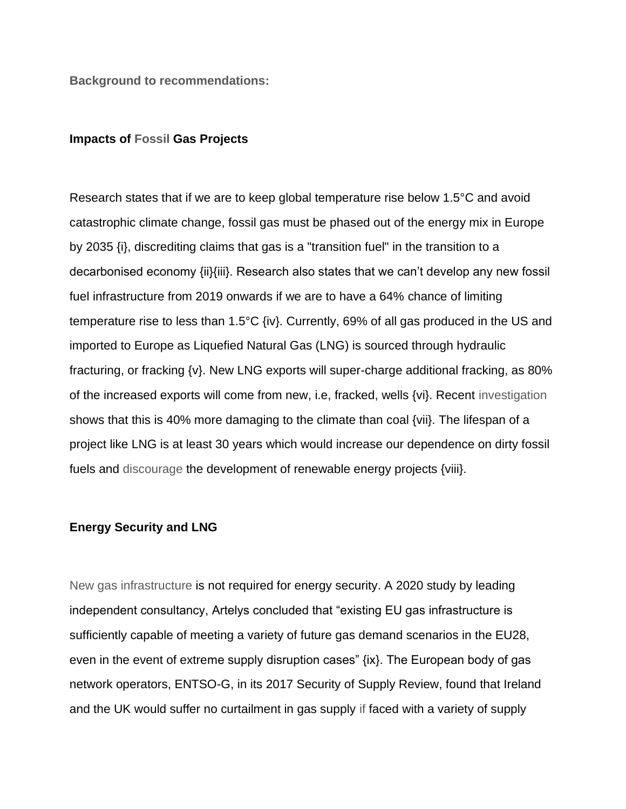**Background to recommendations:**

#### **Impacts of Fossil Gas Projects**

Research states that if we are to keep global temperature rise below 1.5°C and avoid catastrophic climate change, fossil gas must be phased out of the energy mix in Europe by 2035 {i}, discrediting claims that gas is a "transition fuel" in the transition to a decarbonised economy {ii}{iii}. Research also states that we can't develop any new fossil fuel infrastructure from 2019 onwards if we are to have a 64% chance of limiting temperature rise to less than 1.5°C {iv}. Currently, 69% of all gas produced in the US and imported to Europe as Liquefied Natural Gas (LNG) is sourced through hydraulic fracturing, or fracking {v}. New LNG exports will super-charge additional fracking, as 80% of the increased exports will come from new, i.e, fracked, wells {vi}. Recent investigation shows that this is 40% more damaging to the climate than coal {vii}. The lifespan of a project like LNG is at least 30 years which would increase our dependence on dirty fossil fuels and discourage the development of renewable energy projects {viii}.

#### **Energy Security and LNG**

New gas infrastructure is not required for energy security. A 2020 study by leading independent consultancy, Artelys concluded that "existing EU gas infrastructure is sufficiently capable of meeting a variety of future gas demand scenarios in the EU28, even in the event of extreme supply disruption cases" {ix}. The European body of gas network operators, ENTSO-G, in its 2017 Security of Supply Review, found that Ireland and the UK would suffer no curtailment in gas supply if faced with a variety of supply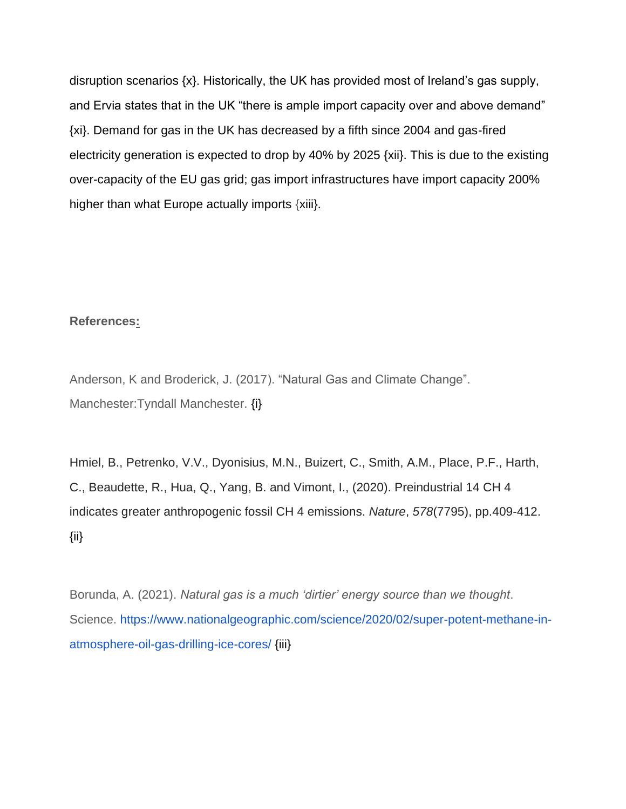disruption scenarios {x}. Historically, the UK has provided most of Ireland's gas supply, and Ervia states that in the UK "there is ample import capacity over and above demand" {xi}. Demand for gas in the UK has decreased by a fifth since 2004 and gas-fired electricity generation is expected to drop by 40% by 2025 {xii}. This is due to the existing over-capacity of the EU gas grid; gas import infrastructures have import capacity 200% higher than what Europe actually imports {xiii}.

#### **References:**

Anderson, K and Broderick, J. (2017). "Natural Gas and Climate Change". Manchester:Tyndall Manchester. {i}

Hmiel, B., Petrenko, V.V., Dyonisius, M.N., Buizert, C., Smith, A.M., Place, P.F., Harth, C., Beaudette, R., Hua, Q., Yang, B. and Vimont, I., (2020). Preindustrial 14 CH 4 indicates greater anthropogenic fossil CH 4 emissions. *Nature*, *578*(7795), pp.409-412. {ii}

Borunda, A. (2021). *Natural gas is a much 'dirtier' energy source than we thought*. Science. [https://www.nationalgeographic.com/science/2020/02/super-potent-methane-in](https://www.nationalgeographic.com/science/2020/02/super-potent-methane-in-atmosphere-oil-gas-drilling-ice-cores/)[atmosphere-oil-gas-drilling-ice-cores/](https://www.nationalgeographic.com/science/2020/02/super-potent-methane-in-atmosphere-oil-gas-drilling-ice-cores/) {iii}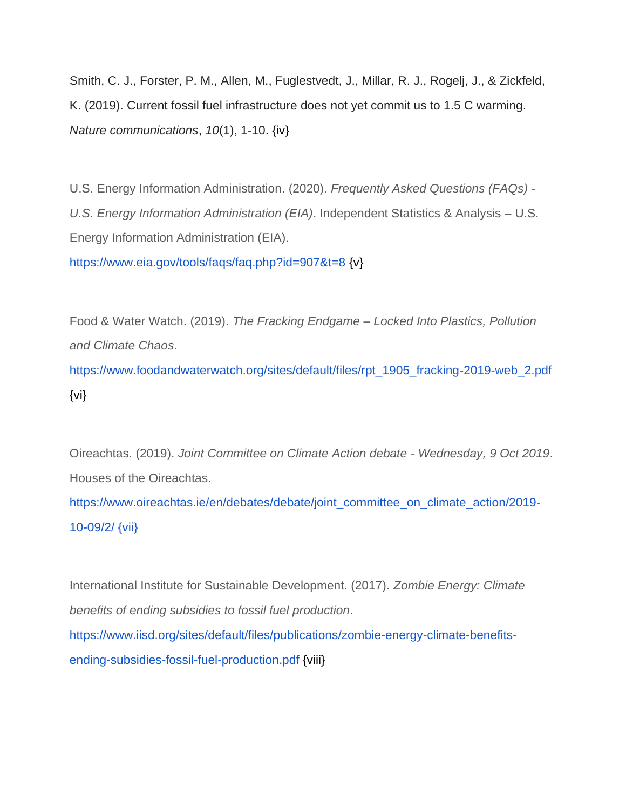Smith, C. J., Forster, P. M., Allen, M., Fuglestvedt, J., Millar, R. J., Rogelj, J., & Zickfeld, K. (2019). Current fossil fuel infrastructure does not yet commit us to 1.5 C warming. *Nature communications*, *10*(1), 1-10. {iv}

U.S. Energy Information Administration. (2020). *Frequently Asked Questions (FAQs) - U.S. Energy Information Administration (EIA)*. Independent Statistics & Analysis – U.S. Energy Information Administration (EIA).

<https://www.eia.gov/tools/faqs/faq.php?id=907&t=8> {v}

Food & Water Watch. (2019). *The Fracking Endgame – Locked Into Plastics, Pollution and Climate Chaos*.

[https://www.foodandwaterwatch.org/sites/default/files/rpt\\_1905\\_fracking-2019-web\\_2.pdf](https://www.foodandwaterwatch.org/sites/default/files/rpt_1905_fracking-2019-web_2.pdf) {vi}

Oireachtas. (2019). *Joint Committee on Climate Action debate - Wednesday, 9 Oct 2019*. Houses of the Oireachtas.

[https://www.oireachtas.ie/en/debates/debate/joint\\_committee\\_on\\_climate\\_action/2019-](https://www.oireachtas.ie/en/debates/debate/joint_committee_on_climate_action/2019-10-09/2/) [10-09/2/](https://www.oireachtas.ie/en/debates/debate/joint_committee_on_climate_action/2019-10-09/2/) [{vii}](https://www.oireachtas.ie/en/debates/debate/joint_committee_on_climate_action/2019-10-09/2/)

International Institute for Sustainable Development. (2017). *Zombie Energy: Climate benefits of ending subsidies to fossil fuel production*.

[https://www.iisd.org/sites/default/files/publications/zombie-energy-climate-benefits](https://www.iisd.org/sites/default/files/publications/zombie-energy-climate-benefits-ending-subsidies-fossil-fuel-production.pdf)[ending-subsidies-fossil-fuel-production.pdf](https://www.iisd.org/sites/default/files/publications/zombie-energy-climate-benefits-ending-subsidies-fossil-fuel-production.pdf) {viii}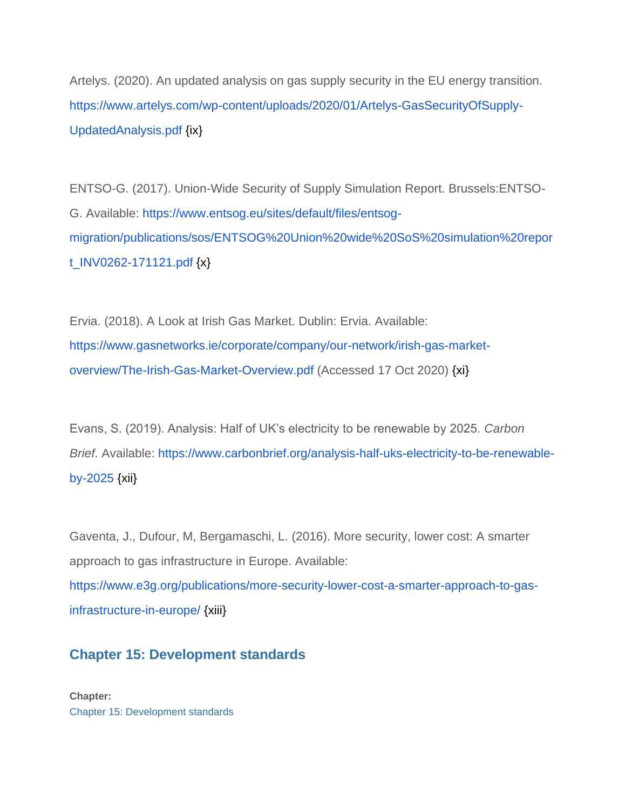Artelys. (2020). An updated analysis on gas supply security in the EU energy transition[.](https://www.artelys.com/wp-content/uploads/2020/01/Artelys-GasSecurityOfSupply-UpdatedAnalysis.pdf) [https://www.artelys.com/wp-content/uploads/2020/01/Artelys-GasSecurityOfSupply-](https://www.artelys.com/wp-content/uploads/2020/01/Artelys-GasSecurityOfSupply-UpdatedAnalysis.pdf)[UpdatedAnalysis.pdf](https://www.artelys.com/wp-content/uploads/2020/01/Artelys-GasSecurityOfSupply-UpdatedAnalysis.pdf) {ix}

ENTSO-G. (2017). Union-Wide Security of Supply Simulation Report. Brussels:ENTSO-G. Available: [https://www.entsog.eu/sites/default/files/entsog](https://www.entsog.eu/sites/default/files/entsog-migration/publications/sos/ENTSOG%20Union%20wide%20SoS%20simulation%20report_INV0262-171121.pdf)[migration/publications/sos/ENTSOG%20Union%20wide%20SoS%20simulation%20repor](https://www.entsog.eu/sites/default/files/entsog-migration/publications/sos/ENTSOG%20Union%20wide%20SoS%20simulation%20report_INV0262-171121.pdf) [t\\_INV0262-171121.pdf](https://www.entsog.eu/sites/default/files/entsog-migration/publications/sos/ENTSOG%20Union%20wide%20SoS%20simulation%20report_INV0262-171121.pdf) {x}

Ervia. (2018). A Look at Irish Gas Market. Dublin: Ervia. Available[:](https://www.gasnetworks.ie/corporate/company/our-network/irish-gas-market-overview/The-Irish-Gas-Market-Overview.pdf) [https://www.gasnetworks.ie/corporate/company/our-network/irish-gas-market](https://www.gasnetworks.ie/corporate/company/our-network/irish-gas-market-overview/The-Irish-Gas-Market-Overview.pdf)[overview/The-Irish-Gas-Market-Overview.pdf](https://www.gasnetworks.ie/corporate/company/our-network/irish-gas-market-overview/The-Irish-Gas-Market-Overview.pdf) (Accessed 17 Oct 2020) {xi}

Evans, S. (2019). Analysis: Half of UK's electricity to be renewable by 2025. *Carbon Brief*. Available: [https://www.carbonbrief.org/analysis-half-uks-electricity-to-be-renewable](https://www.carbonbrief.org/analysis-half-uks-electricity-to-be-renewable-by-2025)[by-2025](https://www.carbonbrief.org/analysis-half-uks-electricity-to-be-renewable-by-2025) {xii}

Gaventa, J., Dufour, M, Bergamaschi, L. (2016). More security, lower cost: A smarter approach to gas infrastructure in Europe. Available[:](https://www.e3g.org/publications/more-security-lower-cost-a-smarter-approach-to-gas-infrastructure-in-europe/) [https://www.e3g.org/publications/more-security-lower-cost-a-smarter-approach-to-gas](https://www.e3g.org/publications/more-security-lower-cost-a-smarter-approach-to-gas-infrastructure-in-europe/)[infrastructure-in-europe/](https://www.e3g.org/publications/more-security-lower-cost-a-smarter-approach-to-gas-infrastructure-in-europe/) [{xiii}](https://www.oireachtas.ie/en/debates/debate/joint_committee_on_climate_action/2019-10-09/2/)

# **[Chapter 15: Development standards](https://consult.dublincity.ie/en/submission/dcc-draft-7242/observation-0)**

**Chapter:**  [Chapter 15: Development standards](https://consult.dublincity.ie/en/consultation/draft-dublin-city-development-plan-2022-2028/chapter/chapter-15-development-standards)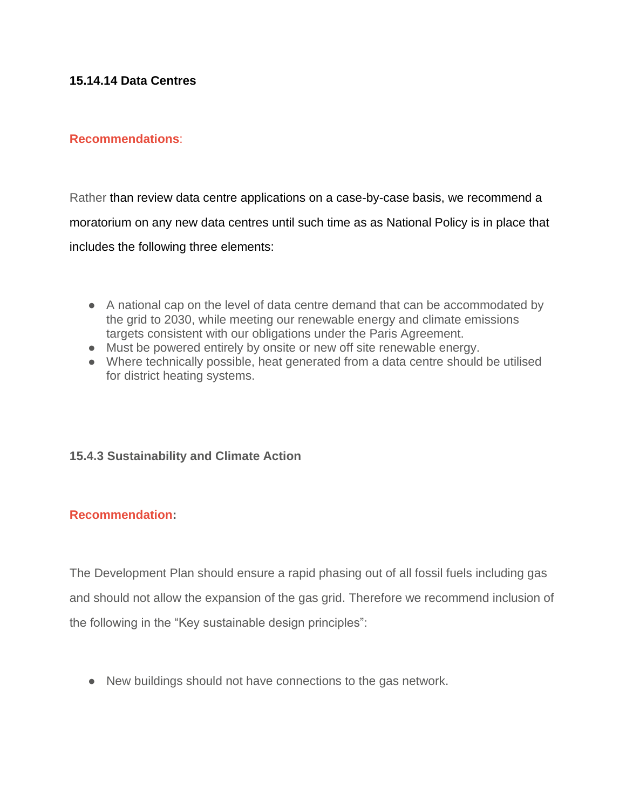### **15.14.14 Data Centres**

### **Recommendations**:

Rather than review data centre applications on a case-by-case basis, we recommend a moratorium on any new data centres until such time as as National Policy is in place that includes the following three elements:

- A national cap on the level of data centre demand that can be accommodated by the grid to 2030, while meeting our renewable energy and climate emissions targets consistent with our obligations under the Paris Agreement.
- Must be powered entirely by onsite or new off site renewable energy.
- Where technically possible, heat generated from a data centre should be utilised for district heating systems.

## **15.4.3 Sustainability and Climate Action**

### **Recommendation:**

The Development Plan should ensure a rapid phasing out of all fossil fuels including gas and should not allow the expansion of the gas grid. Therefore we recommend inclusion of the following in the "Key sustainable design principles":

● New buildings should not have connections to the gas network.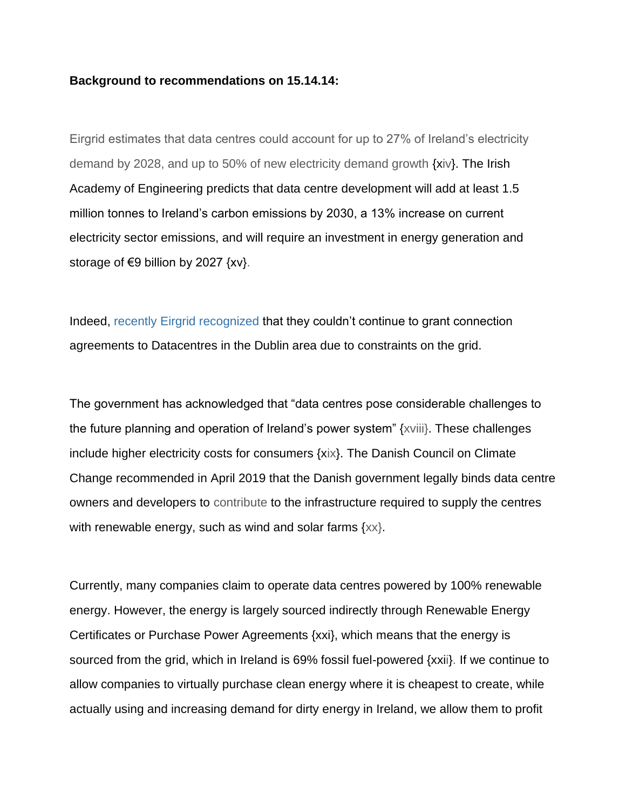#### **Background to recommendations on 15.14.14:**

Eirgrid estimates that data centres could account for up to 27% of Ireland's electricity demand by 2028, and up to 50% of new electricity demand growth {xiv}. The Irish Academy of Engineering predicts that data centre development will add at least 1.5 million tonnes to Ireland's carbon emissions by 2030, a 13% increase on current electricity sector emissions, and will require an investment in energy generation and storage of  $\epsilon$ 9 billion by 2027  $\{xy\}$ .

Indeed, [recently Eirgrid recognized](https://www.rte.ie/news/dublin/2022/0110/1272869-eirgrid-datacentres-dublin/) that they couldn't continue to grant connection agreements to Datacentres in the Dublin area due to constraints on the grid.

The government has acknowledged that "data centres pose considerable challenges to the future planning and operation of Ireland's power system" {xviii}. These challenges include higher electricity costs for consumers {xix}. The Danish Council on Climate Change recommended in April 2019 that the Danish government legally binds data centre owners and developers to contribute to the infrastructure required to supply the centres with renewable energy, such as wind and solar farms  $\{xx\}$ .

Currently, many companies claim to operate data centres powered by 100% renewable energy. However, the energy is largely sourced indirectly through Renewable Energy Certificates or Purchase Power Agreements {xxi}, which means that the energy is sourced from the grid, which in Ireland is 69% fossil fuel-powered {xxii}. If we continue to allow companies to virtually purchase clean energy where it is cheapest to create, while actually using and increasing demand for dirty energy in Ireland, we allow them to profit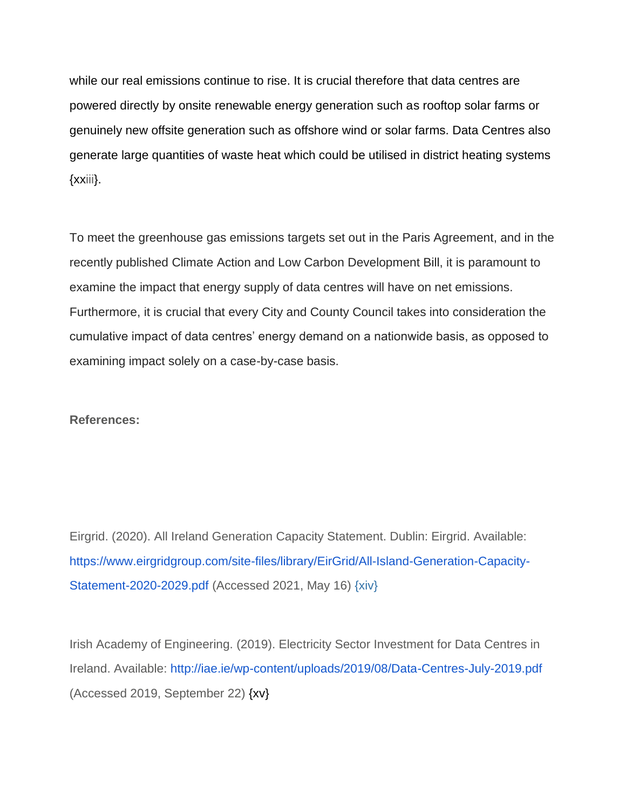while our real emissions continue to rise. It is crucial therefore that data centres are powered directly by onsite renewable energy generation such as rooftop solar farms or genuinely new offsite generation such as offshore wind or solar farms. Data Centres also generate large quantities of waste heat which could be utilised in district heating systems {xxiii}.

To meet the greenhouse gas emissions targets set out in the Paris Agreement, and in the recently published Climate Action and Low Carbon Development Bill, it is paramount to examine the impact that energy supply of data centres will have on net emissions. Furthermore, it is crucial that every City and County Council takes into consideration the cumulative impact of data centres' energy demand on a nationwide basis, as opposed to examining impact solely on a case-by-case basis.

#### **References:**

Eirgrid. (2020). All Ireland Generation Capacity Statement. Dublin: Eirgrid. Available: [https://www.eirgridgroup.com/site-files/library/EirGrid/All-Island-Generation-Capacity-](https://www.eirgridgroup.com/site-files/library/EirGrid/All-Island-Generation-Capacity-Statement-2020-2029.pdf)[Statement-2020-2029.pdf](https://www.eirgridgroup.com/site-files/library/EirGrid/All-Island-Generation-Capacity-Statement-2020-2029.pdf) (Accessed 2021, May 16) [{xiv}](https://www.oireachtas.ie/en/debates/debate/joint_committee_on_climate_action/2019-10-09/2/)

Irish Academy of Engineering. (2019). Electricity Sector Investment for Data Centres in Ireland. Available:<http://iae.ie/wp-content/uploads/2019/08/Data-Centres-July-2019.pdf> (Accessed 2019, September 22) {xv}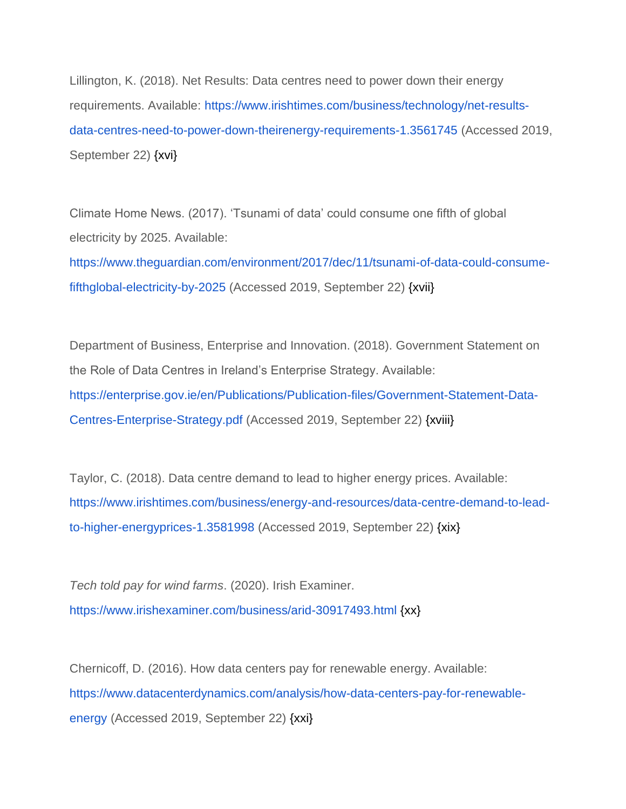Lillington, K. (2018). Net Results: Data centres need to power down their energy requirements. Available: [https://www.irishtimes.com/business/technology/net-results](https://www.irishtimes.com/business/technology/net-results-data-centres-need-to-power-down-theirenergy-requirements-1.3561745)[data-centres-need-to-power-down-theirenergy-requirements-1.3561745](https://www.irishtimes.com/business/technology/net-results-data-centres-need-to-power-down-theirenergy-requirements-1.3561745) (Accessed 2019, September 22) {xvi}

Climate Home News. (2017). 'Tsunami of data' could consume one fifth of global electricity by 2025. Available:

[https://www.theguardian.com/environment/2017/dec/11/tsunami-of-data-could-consume](https://www.theguardian.com/environment/2017/dec/11/tsunami-of-data-could-consume-fifthglobal-electricity-by-2025)[fifthglobal-electricity-by-2025](https://www.theguardian.com/environment/2017/dec/11/tsunami-of-data-could-consume-fifthglobal-electricity-by-2025) (Accessed 2019, September 22) {xvii}

Department of Business, Enterprise and Innovation. (2018). Government Statement on the Role of Data Centres in Ireland's Enterprise Strategy. Available: [https://enterprise.gov.ie/en/Publications/Publication-files/Government-Statement-Data-](https://enterprise.gov.ie/en/Publications/Publication-files/Government-Statement-Data-Centres-Enterprise-Strategy.pdf)[Centres-Enterprise-Strategy.pdf](https://enterprise.gov.ie/en/Publications/Publication-files/Government-Statement-Data-Centres-Enterprise-Strategy.pdf) (Accessed 2019, September 22) {xviii}

Taylor, C. (2018). Data centre demand to lead to higher energy prices. Available: [https://www.irishtimes.com/business/energy-and-resources/data-centre-demand-to-lead](https://www.irishtimes.com/business/energy-and-resources/data-centre-demand-to-lead-to-higher-energyprices-1.3581998)[to-higher-energyprices-1.3581998](https://www.irishtimes.com/business/energy-and-resources/data-centre-demand-to-lead-to-higher-energyprices-1.3581998) (Accessed 2019, September 22) {xix}

*Tech told pay for wind farms*. (2020). Irish Examiner. <https://www.irishexaminer.com/business/arid-30917493.html> {xx}

Chernicoff, D. (2016). How data centers pay for renewable energy. Available: [https://www.datacenterdynamics.com/analysis/how-data-centers-pay-for-renewable](https://www.datacenterdynamics.com/analysis/how-data-centers-pay-for-renewable-energy)[energy](https://www.datacenterdynamics.com/analysis/how-data-centers-pay-for-renewable-energy) (Accessed 2019, September 22) {xxi}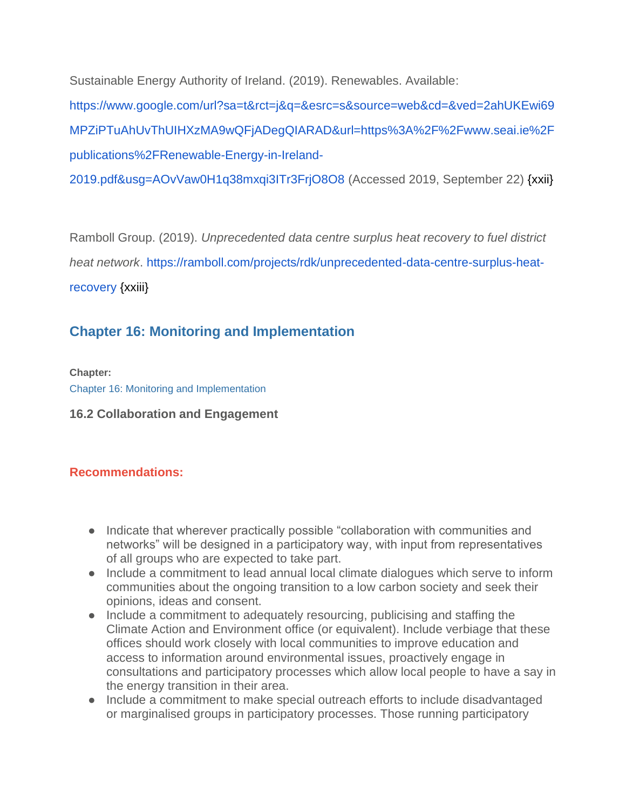Sustainable Energy Authority of Ireland. (2019). Renewables. Available:

[https://www.google.com/url?sa=t&rct=j&q=&esrc=s&source=web&cd=&ved=2ahUKEwi69](https://www.seai.ie/publications/Renewable-Energy-in-Ireland-2019.pdf) [MPZiPTuAhUvThUIHXzMA9wQFjADegQIARAD&url=https%3A%2F%2Fwww.seai.ie%2F](https://www.seai.ie/publications/Renewable-Energy-in-Ireland-2019.pdf) [publications%2FRenewable-Energy-in-Ireland-](https://www.seai.ie/publications/Renewable-Energy-in-Ireland-2019.pdf)

[2019.pdf&usg=AOvVaw0H1q38mxqi3ITr3FrjO8O8](https://www.seai.ie/publications/Renewable-Energy-in-Ireland-2019.pdf) (Accessed 2019, September 22) {xxii}

Ramboll Group. (2019). *Unprecedented data centre surplus heat recovery to fuel district heat network*. [https://ramboll.com/projects/rdk/unprecedented-data-centre-surplus-heat](https://ramboll.com/projects/rdk/unprecedented-data-centre-surplus-heat-recovery)[recovery](https://ramboll.com/projects/rdk/unprecedented-data-centre-surplus-heat-recovery) {xxiii}

# **[Chapter 16: Monitoring and Implementation](https://consult.dublincity.ie/en/submission/dcc-draft-7242/observation-1)**

**Chapter:** 

[Chapter 16: Monitoring and Implementation](https://consult.dublincity.ie/en/consultation/draft-dublin-city-development-plan-2022-2028/chapter/chapter-16-monitoring-and-implementation)

**16.2 Collaboration and Engagement**

## **Recommendations:**

- Indicate that wherever practically possible "collaboration with communities and networks" will be designed in a participatory way, with input from representatives of all groups who are expected to take part.
- Include a commitment to lead annual local climate dialogues which serve to inform communities about the ongoing transition to a low carbon society and seek their opinions, ideas and consent.
- Include a commitment to adequately resourcing, publicising and staffing the Climate Action and Environment office (or equivalent). Include verbiage that these offices should work closely with local communities to improve education and access to information around environmental issues, proactively engage in consultations and participatory processes which allow local people to have a say in the energy transition in their area.
- Include a commitment to make special outreach efforts to include disadvantaged or marginalised groups in participatory processes. Those running participatory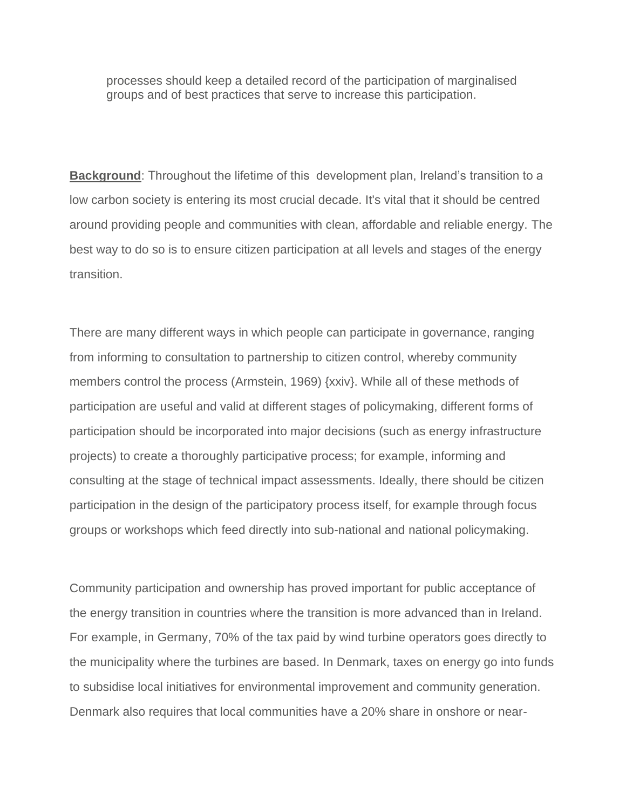processes should keep a detailed record of the participation of marginalised groups and of best practices that serve to increase this participation.

**Background**: Throughout the lifetime of this development plan, Ireland's transition to a low carbon society is entering its most crucial decade. It's vital that it should be centred around providing people and communities with clean, affordable and reliable energy. The best way to do so is to ensure citizen participation at all levels and stages of the energy transition.

There are many different ways in which people can participate in governance, ranging from informing to consultation to partnership to citizen control, whereby community members control the process (Armstein, 1969) {xxiv}. While all of these methods of participation are useful and valid at different stages of policymaking, different forms of participation should be incorporated into major decisions (such as energy infrastructure projects) to create a thoroughly participative process; for example, informing and consulting at the stage of technical impact assessments. Ideally, there should be citizen participation in the design of the participatory process itself, for example through focus groups or workshops which feed directly into sub-national and national policymaking.

Community participation and ownership has proved important for public acceptance of the energy transition in countries where the transition is more advanced than in Ireland. For example, in Germany, 70% of the tax paid by wind turbine operators goes directly to the municipality where the turbines are based. In Denmark, taxes on energy go into funds to subsidise local initiatives for environmental improvement and community generation. Denmark also requires that local communities have a 20% share in onshore or near